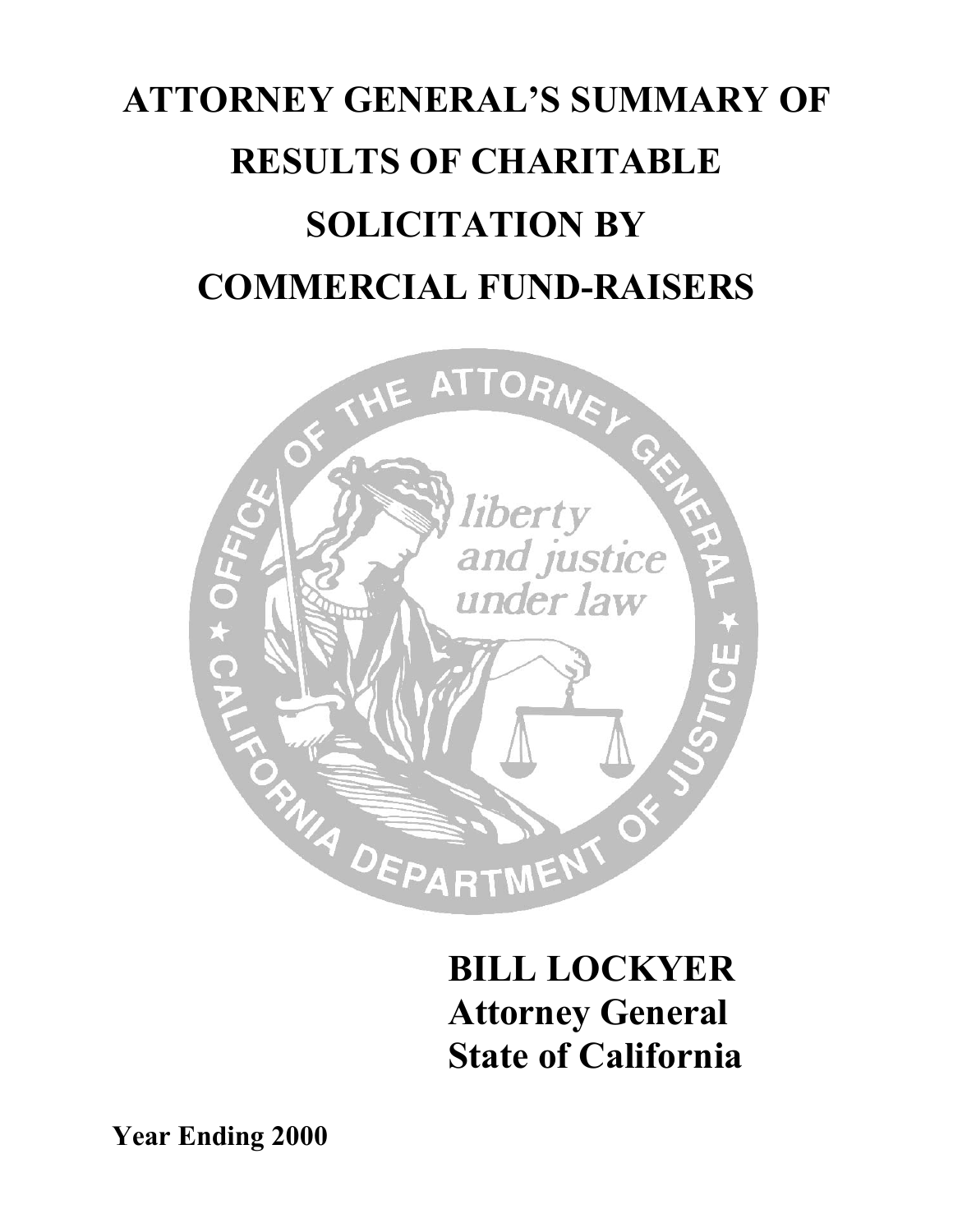# **ATTORNEY GENERAL'S SUMMARY OF RESULTS OF CHARITABLE SOLICITATION BY COMMERCIAL FUND-RAISERS**



## **BILL LOCKYER Attorney General State of California**

**Year Ending 2000**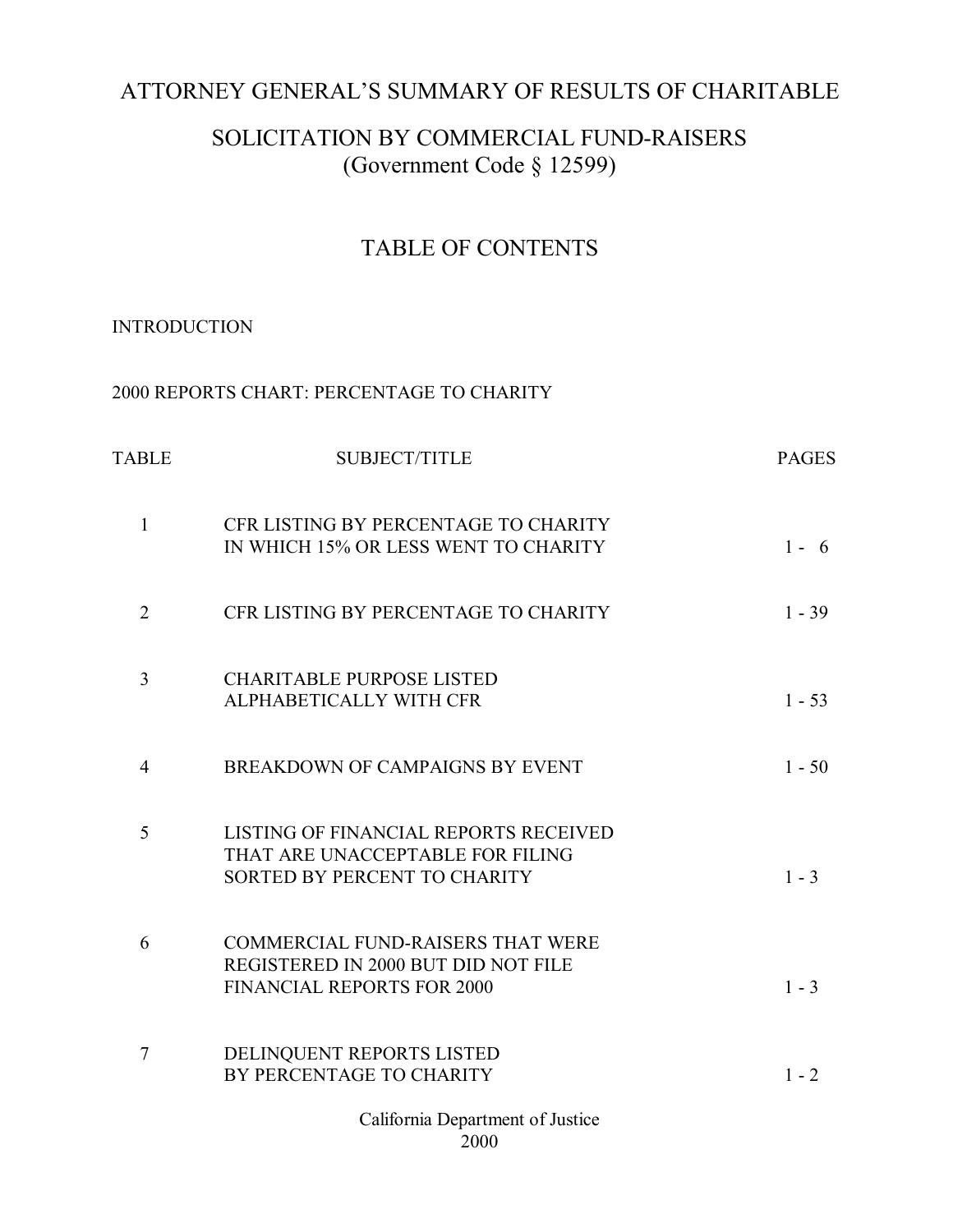## ATTORNEY GENERAL'S SUMMARY OF RESULTS OF CHARITABLE

### SOLICITATION BY COMMERCIAL FUND-RAISERS (Government Code § 12599)

### TABLE OF CONTENTS

#### **INTRODUCTION**

| TABLE          | <b>SUBJECT/TITLE</b>                                                                                                 | <b>PAGES</b> |
|----------------|----------------------------------------------------------------------------------------------------------------------|--------------|
| $\mathbf{1}$   | CFR LISTING BY PERCENTAGE TO CHARITY<br>IN WHICH 15% OR LESS WENT TO CHARITY                                         | $1 - 6$      |
| $\overline{2}$ | CFR LISTING BY PERCENTAGE TO CHARITY                                                                                 | $1 - 39$     |
| 3              | <b>CHARITABLE PURPOSE LISTED</b><br>ALPHABETICALLY WITH CFR                                                          | $1 - 53$     |
| $\overline{4}$ | BREAKDOWN OF CAMPAIGNS BY EVENT                                                                                      | $1 - 50$     |
| 5              | LISTING OF FINANCIAL REPORTS RECEIVED<br>THAT ARE UNACCEPTABLE FOR FILING<br>SORTED BY PERCENT TO CHARITY            | $1 - 3$      |
| 6              | <b>COMMERCIAL FUND-RAISERS THAT WERE</b><br>REGISTERED IN 2000 BUT DID NOT FILE<br><b>FINANCIAL REPORTS FOR 2000</b> | $1 - 3$      |
| $\overline{7}$ | DELINQUENT REPORTS LISTED<br>BY PERCENTAGE TO CHARITY                                                                | $1 - 2$      |
|                | California Department of Justice<br>2000                                                                             |              |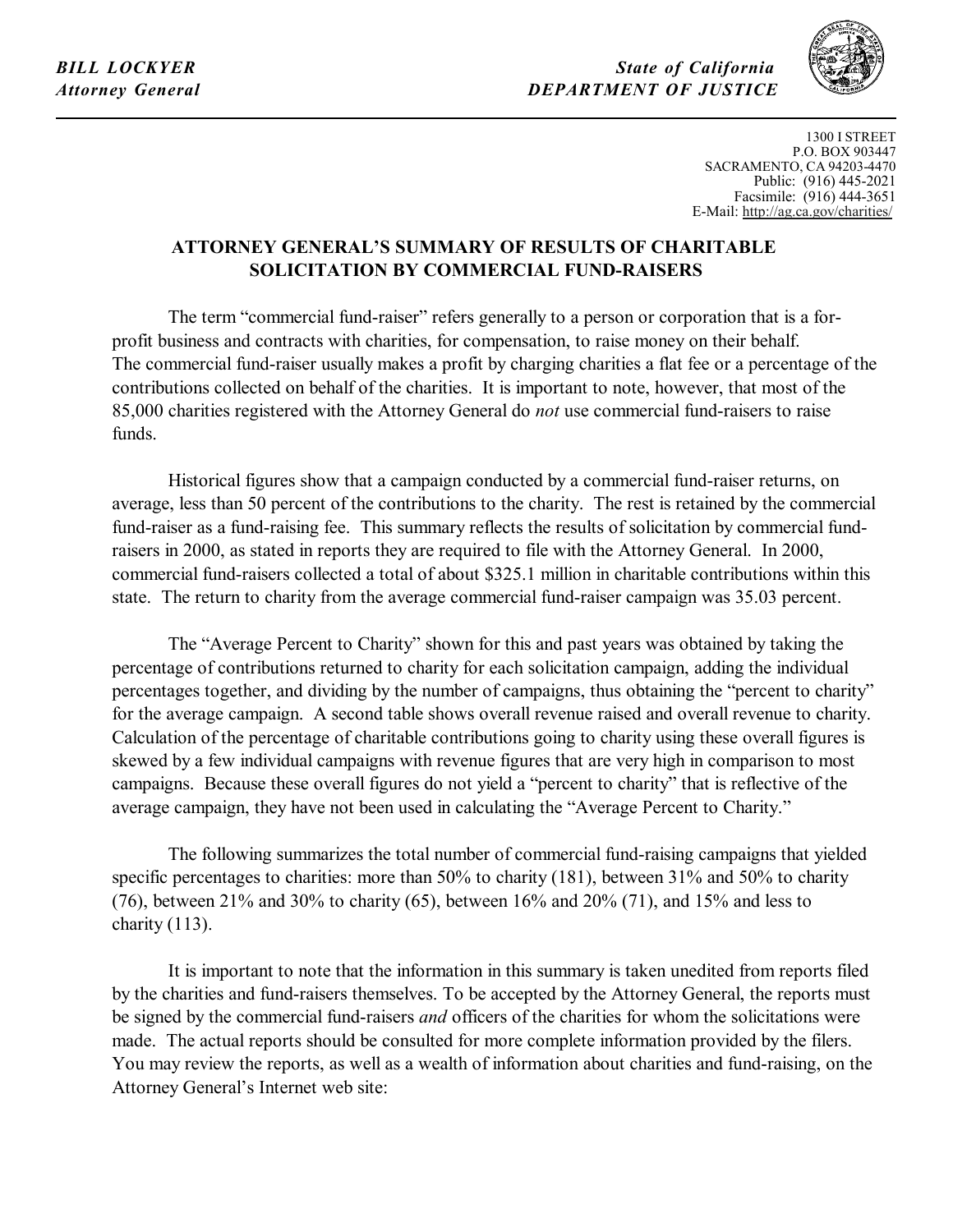*State of California DEPARTMENT OF JUSTICE*



1300 I STREET P.O. BOX 903447 SACRAMENTO, CA 94203-4470 Public: (916) 445-2021 Facsimile: (916) 444-3651 E-Mai[l: http://ag.ca.gov/charities/](http://ag.ca.gov/charities/) 

#### **ATTORNEY GENERAL'S SUMMARY OF RESULTS OF CHARITABLE SOLICITATION BY COMMERCIAL FUND-RAISERS**

 profit business and contracts with charities, for compensation, to raise money on their behalf. The term "commercial fund-raiser" refers generally to a person or corporation that is a for-The commercial fund-raiser usually makes a profit by charging charities a flat fee or a percentage of the contributions collected on behalf of the charities. It is important to note, however, that most of the 85,000 charities registered with the Attorney General do *not* use commercial fund-raisers to raise funds.

Historical figures show that a campaign conducted by a commercial fund-raiser returns, on average, less than 50 percent of the contributions to the charity. The rest is retained by the commercial fund-raiser as a fund-raising fee. This summary reflects the results of solicitation by commercial fundraisers in 2000, as stated in reports they are required to file with the Attorney General. In 2000, commercial fund-raisers collected a total of about \$325.1 million in charitable contributions within this state. The return to charity from the average commercial fund-raiser campaign was 35.03 percent.

The "Average Percent to Charity" shown for this and past years was obtained by taking the percentage of contributions returned to charity for each solicitation campaign, adding the individual percentages together, and dividing by the number of campaigns, thus obtaining the "percent to charity" for the average campaign. A second table shows overall revenue raised and overall revenue to charity. Calculation of the percentage of charitable contributions going to charity using these overall figures is skewed by a few individual campaigns with revenue figures that are very high in comparison to most campaigns. Because these overall figures do not yield a "percent to charity" that is reflective of the average campaign, they have not been used in calculating the "Average Percent to Charity."

The following summarizes the total number of commercial fund-raising campaigns that yielded specific percentages to charities: more than 50% to charity (181), between 31% and 50% to charity (76), between 21% and 30% to charity (65), between  $16\%$  and  $20\%$  (71), and 15% and less to charity (113).

It is important to note that the information in this summary is taken unedited from reports filed by the charities and fund-raisers themselves. To be accepted by the Attorney General, the reports must be signed by the commercial fund-raisers *and* officers of the charities for whom the solicitations were made. The actual reports should be consulted for more complete information provided by the filers. You may review the reports, as well as a wealth of information about charities and fund-raising, on the Attorney General's Internet web site: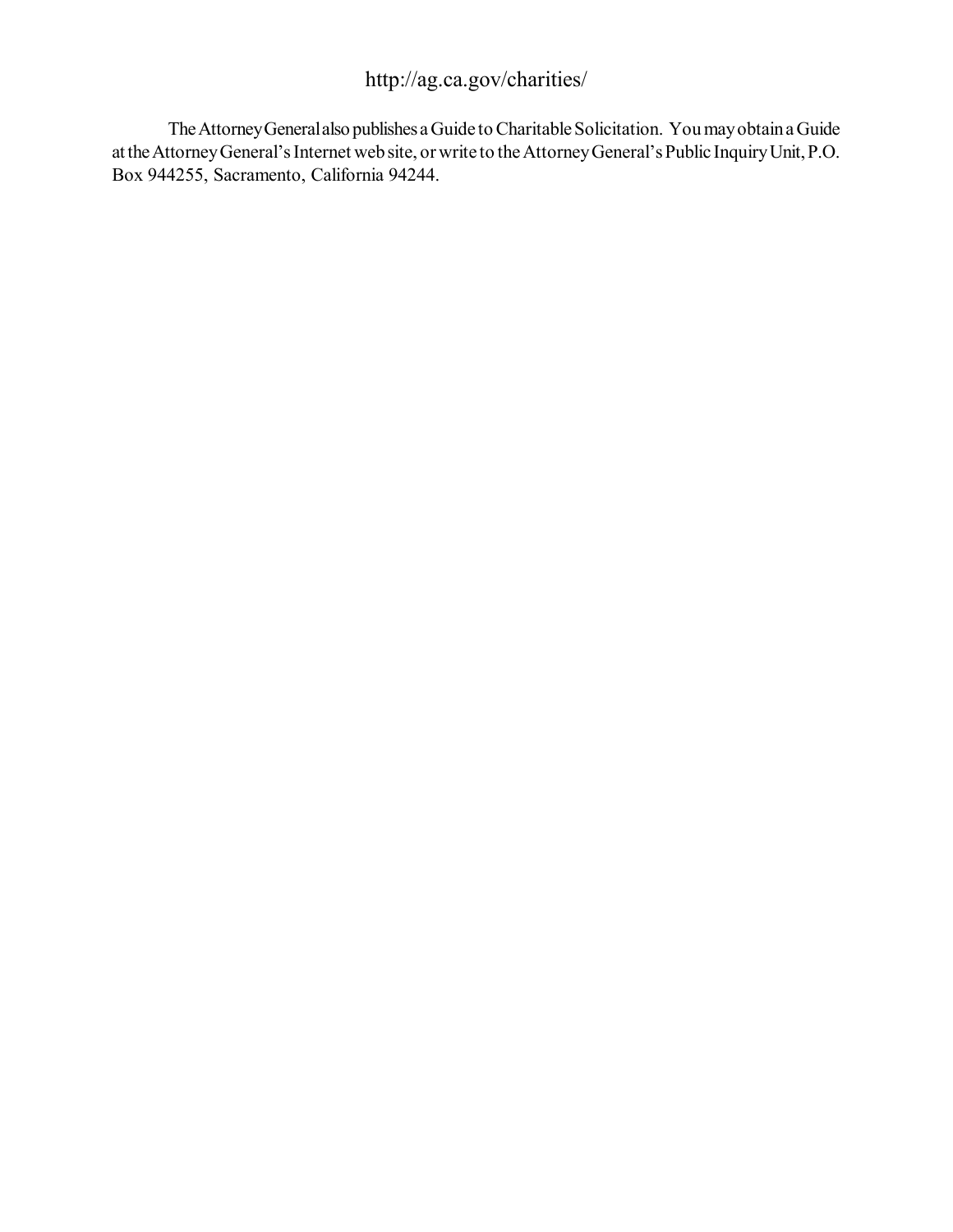### <http://ag.ca.gov/charities/>

The Attorney General also publishes a Guide to Charitable Solicitation. You may obtain a Guide at the Attorney General's Internet web site, or write to the Attorney General's Public Inquiry Unit, P.O. Box 944255, Sacramento, California 94244.